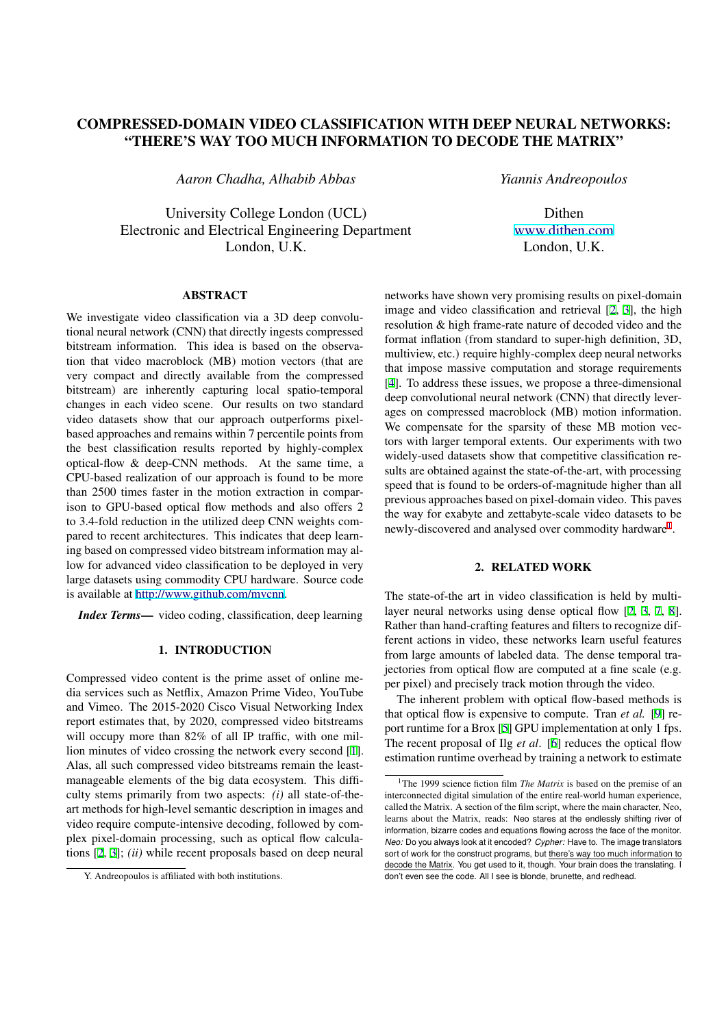# **COMPRESSED-DOMAIN VIDEO CLASSIFICATION WITH DEEP NEURAL NETWORKS: "THERE'S WAY TOO MUCH INFORMATION TO DECODE THE MATRIX"**

*Aaron Chadha, Alhabib Abbas*

University College London (UCL) Electronic and Electrical Engineering Department London, U.K.

**ABSTRACT**

We investigate video classification via a 3D deep convolutional neural network (CNN) that directly ingests compressed bitstream information. This idea is based on the observation that video macroblock (MB) motion vectors (that are very compact and directly available from the compressed bitstream) are inherently capturing local spatio-temporal changes in each video scene. Our results on two standard video datasets show that our approach outperforms pixelbased approaches and remains within 7 percentile points from the best classification results reported by highly-complex optical-flow & deep-CNN methods. At the same time, a CPU-based realization of our approach is found to be more than 2500 times faster in the motion extraction in comparison to GPU-based optical flow methods and also offers 2 to 3.4-fold reduction in the utilized deep CNN weights compared to recent architectures. This indicates that deep learning based on compressed video bitstream information may allow for advanced video classification to be deployed in very large datasets using commodity CPU hardware. Source code is available at http://www.github.com/mvcnn.

*Index Terms***—** video coding, classification, deep learning

# **[1. INTRODUCTION](http://www.github.com/mvcnn)**

Compressed video content is the prime asset of online media services such as Netflix, Amazon Prime Video, YouTube and Vimeo. The 2015-2020 Cisco Visual Networking Index report estimates that, by 2020, compressed video bitstreams will occupy more than 82% of all IP traffic, with one million minutes of video crossing the network every second [1]. Alas, all such compressed video bitstreams remain the leastmanageable elements of the big data ecosystem. This difficulty stems primarily from two aspects: *(i)* all state-of-theart methods for high-level semantic description in images [an](#page-4-0)d video require compute-intensive decoding, followed by complex pixel-domain processing, such as optical flow calculations [2, 3]; *(ii)* while recent proposals based on deep neural

networks have shown very promising results on pixel-domain image and video classification and retrieval [2, 3], the high resolution & high frame-rate nature of decoded video and the format inflation (from standard to super-high definition, 3D, multiview, etc.) require highly-complex deep neural networks that impose massive computation and storag[e](#page-4-0) r[eq](#page-4-0)uirements [4]. To address these issues, we propose a three-dimensional deep convolutional neural network (CNN) that directly leverages on compressed macroblock (MB) motion information. We compensate for the sparsity of these MB motion vect[or](#page-4-0)s with larger temporal extents. Our experiments with two widely-used datasets show that competitive classification results are obtained against the state-of-the-art, with processing speed that is found to be orders-of-magnitude higher than all previous approaches based on pixel-domain video. This paves the way for exabyte and zettabyte-scale video datasets to be newly-discovered and analysed over commodity hardware<sup>1</sup>.

# **2. RELATED WORK**

The state-of-the art in video classification is held by multilayer neural networks using dense optical flow [2, 3, 7, 8]. Rather than hand-crafting features and filters to recognize different actions in video, these networks learn useful features from large amounts of labeled data. The dense temporal trajectories from optical flow are computed at a fine [scale \(e.g](#page-4-0). per pixel) and precisely track motion through the video.

The inherent problem with optical flow-based methods is that optical flow is expensive to compute. Tran *et al.* [9] report runtime for a Brox [5] GPU implementation at only 1 fps. The recent proposal of Ilg *et al*. [6] reduces the optical flow estimation runtime overhead by training a network to estimate

Dithen www.dithen.com London, U.K.

*Yiannis Andreopoulos*

Y. Andreopoulos is affiliated with both institutions.

<sup>&</sup>lt;sup>1</sup>The 1999 science fiction [fil](#page-4-0)m *The Matrix* is based on the premise of an interconnected digital simulation of the entire real-world human experience, called the Matrix. A section of the film scri[pt,](#page-4-0) where the main character, Neo, learns about the Matrix, reads: Neo stares at the endlessly shifting river of information, bizarre codes and equations flowing across the face of the monitor. Neo: Do you always look at it encoded? Cypher: Have to. The image translators sort of work for the construct programs, but there's way too much information to decode the Matrix. You get used to it, though. Your brain does the translating. I don't even see the code. All I see is blonde, brunette, and redhead.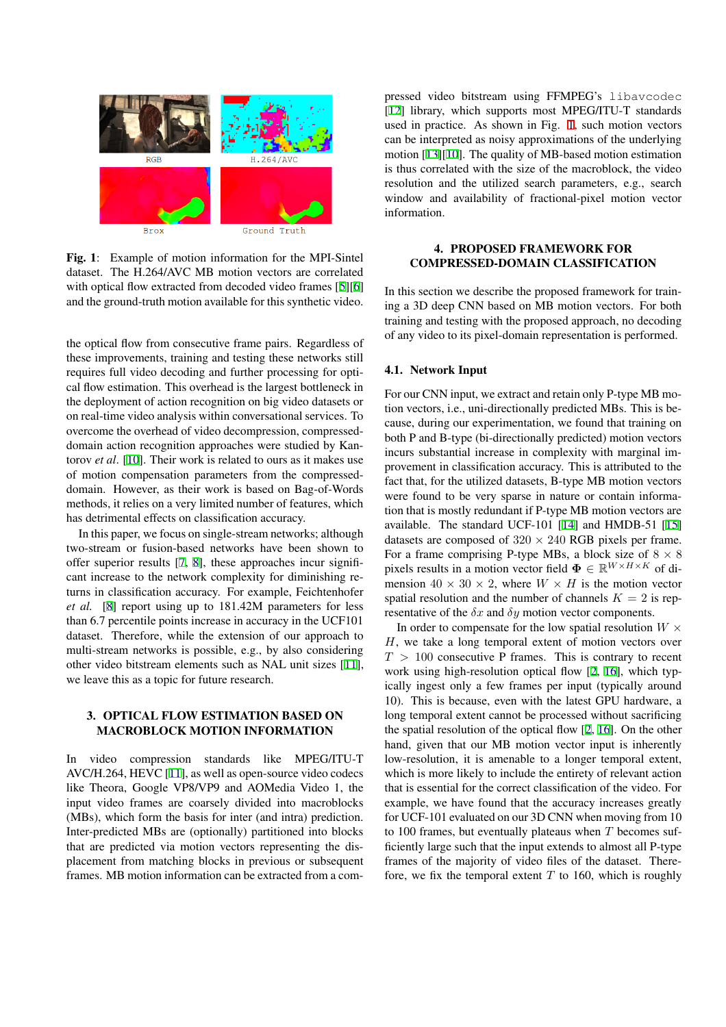

**Fig. 1**: Example of motion information for the MPI-Sintel dataset. The H.264/AVC MB motion vectors are correlated with optical flow extracted from decoded video frames [5][6] and the ground-truth motion available for this synthetic video.

the optical flow from consecutive frame pairs. Regardl[ess of](#page-4-0) these improvements, training and testing these networks still requires full video decoding and further processing for optical flow estimation. This overhead is the largest bottleneck in the deployment of action recognition on big video datasets or on real-time video analysis within conversational services. To overcome the overhead of video decompression, compresseddomain action recognition approaches were studied by Kantorov *et al*. [10]. Their work is related to ours as it makes use of motion compensation parameters from the compresseddomain. However, as their work is based on Bag-of-Words methods, it relies on a very limited number of features, which has detrime[ntal](#page-4-0) effects on classification accuracy.

In this paper, we focus on single-stream networks; although two-stream or fusion-based networks have been shown to offer superior results [7, 8], these approaches incur significant increase to the network complexity for diminishing returns in classification accuracy. For example, Feichtenhofer *et al.* [8] report using up to 181.42M parameters for less than 6.7 percentile poi[nts](#page-4-0) [in](#page-4-0)crease in accuracy in the UCF101 dataset. Therefore, while the extension of our approach to multi-stream networks is possible, e.g., by also considering other vi[de](#page-4-0)o bitstream elements such as NAL unit sizes [11], we leave this as a topic for future research.

# **3. OPTICAL FLOW ESTIMATION BASED ON MACROBLOCK MOTION INFORMATION**

In video compression standards like MPEG/ITU-T AVC/H.264, HEVC [11], as well as open-source video codecs like Theora, Google VP8/VP9 and AOMedia Video 1, the input video frames are coarsely divided into macroblocks (MBs), which form the basis for inter (and intra) prediction. Inter-predicted MBs [are](#page-4-0) (optionally) partitioned into blocks that are predicted via motion vectors representing the displacement from matching blocks in previous or subsequent frames. MB motion information can be extracted from a compressed video bitstream using FFMPEG's libavcodec [12] library, which supports most MPEG/ITU-T standards used in practice. As shown in Fig. 1, such motion vectors can be interpreted as noisy approximations of the underlying motion [13][10]. The quality of MB-based motion estimation i[s th](#page-4-0)us correlated with the size of the macroblock, the video resolution and the utilized search parameters, e.g., search window and availability of fractional-pixel motion vector informa[tion](#page-4-0).

# **4. PROPOSED FRAMEWORK FOR COMPRESSED-DOMAIN CLASSIFICATION**

In this section we describe the proposed framework for training a 3D deep CNN based on MB motion vectors. For both training and testing with the proposed approach, no decoding of any video to its pixel-domain representation is performed.

# **4.1. Network Input**

For our CNN input, we extract and retain only P-type MB motion vectors, i.e., uni-directionally predicted MBs. This is because, during our experimentation, we found that training on both P and B-type (bi-directionally predicted) motion vectors incurs substantial increase in complexity with marginal improvement in classification accuracy. This is attributed to the fact that, for the utilized datasets, B-type MB motion vectors were found to be very sparse in nature or contain information that is mostly redundant if P-type MB motion vectors are available. The standard UCF-101 [14] and HMDB-51 [15] datasets are composed of  $320 \times 240$  RGB pixels per frame. For a frame comprising P-type MBs, a block size of  $8 \times 8$ pixels results in a motion vector field  $\mathbf{\Phi} \in \mathbb{R}^{W \times H \times K}$  of dimension  $40 \times 30 \times 2$ , where  $W \times H$  $W \times H$  is the motion ve[ctor](#page-4-0) spatial resolution and the number of channels  $K = 2$  is representative of the  $\delta x$  and  $\delta y$  motion vector components.

In order to compensate for the low spatial resolution  $W \times$ H, we take a long temporal extent of motion vectors over  $T > 100$  consecutive P frames. This is contrary to recent work using high-resolution optical flow [2, 16], which typically ingest only a few frames per input (typically around 10). This is because, even with the latest GPU hardware, a long temporal extent cannot be processed without sacrificing the spatial resolution of the optical flow [[2,](#page-4-0) 1[6\].](#page-4-0) On the other hand, given that our MB motion vector input is inherently low-resolution, it is amenable to a longer temporal extent, which is more likely to include the entirety of relevant action that is essential for the correct classificati[on of](#page-4-0) the video. For example, we have found that the accuracy increases greatly for UCF-101 evaluated on our 3D CNN when moving from 10 to 100 frames, but eventually plateaus when  $T$  becomes sufficiently large such that the input extends to almost all P-type frames of the majority of video files of the dataset. Therefore, we fix the temporal extent  $T$  to 160, which is roughly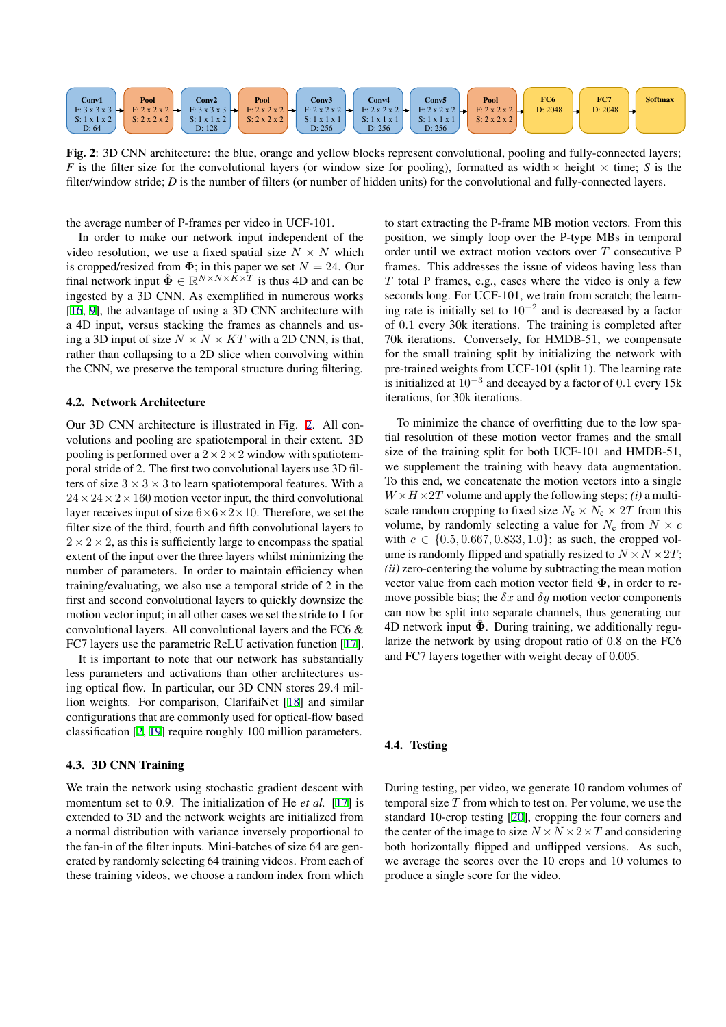<span id="page-2-0"></span>

**Fig. 2**: 3D CNN architecture: the blue, orange and yellow blocks represent convolutional, pooling and fully-connected layers; *F* is the filter size for the convolutional layers (or window size for pooling), formatted as width  $\times$  height  $\times$  time; *S* is the filter/window stride; *D* is the number of filters (or number of hidden units) for the convolutional and fully-connected layers.

the average number of P-frames per video in UCF-101.

In order to make our network input independent of the video resolution, we use a fixed spatial size  $N \times N$  which is cropped/resized from  $\Phi$ ; in this paper we set  $N = 24$ . Our final network input  $\hat{\Phi} \in \mathbb{R}^{N \times N \times K \times T}$  is thus 4D and can be ingested by a 3D CNN. As exemplified in numerous works [16, 9], the advantage of using a 3D CNN architecture with a 4D input, versus stacking the frames as channels and using a 3D input of size  $N \times N \times KT$  with a 2D CNN, is that, rather than collapsing to a 2D slice when convolving within t[he](#page-4-0) [CN](#page-4-0)N, we preserve the temporal structure during filtering.

# **4.2. Network Architecture**

Our 3D CNN architecture is illustrated in Fig. 2. All convolutions and pooling are spatiotemporal in their extent. 3D pooling is performed over a  $2 \times 2 \times 2$  window with spatiotemporal stride of 2. The first two convolutional layers use 3D filters of size  $3 \times 3 \times 3$  to learn spatiotemporal features. With a  $24 \times 24 \times 2 \times 160$  motion vector input, the third convolutional layer receives input of size  $6\times6\times2\times10$ . Therefore, we set the filter size of the third, fourth and fifth convolutional layers to  $2 \times 2 \times 2$ , as this is sufficiently large to encompass the spatial extent of the input over the three layers whilst minimizing the number of parameters. In order to maintain efficiency when training/evaluating, we also use a temporal stride of 2 in the first and second convolutional layers to quickly downsize the motion vector input; in all other cases we set the stride to 1 for convolutional layers. All convolutional layers and the FC6 & FC7 layers use the parametric ReLU activation function [17].

It is important to note that our network has substantially less parameters and activations than other architectures using optical flow. In particular, our 3D CNN stores 29.4 million weights. For comparison, ClarifaiNet [18] and si[mila](#page-4-0)r configurations that are commonly used for optical-flow based classification [2, 19] require roughly 100 million parameters.

# **4.3. 3D CNN Training**

We train the [ne](#page-4-0)t[wo](#page-4-0)rk using stochastic gradient descent with momentum set to 0.9. The initialization of He *et al.* [17] is extended to 3D and the network weights are initialized from a normal distribution with variance inversely proportional to the fan-in of the filter inputs. Mini-batches of size 64 are generated by randomly selecting 64 training videos. From e[ach](#page-4-0) of these training videos, we choose a random index from which

to start extracting the P-frame MB motion vectors. From this position, we simply loop over the P-type MBs in temporal order until we extract motion vectors over T consecutive P frames. This addresses the issue of videos having less than  $T$  total P frames, e.g., cases where the video is only a few seconds long. For UCF-101, we train from scratch; the learning rate is initially set to  $10^{-2}$  and is decreased by a factor of 0.1 every 30k iterations. The training is completed after 70k iterations. Conversely, for HMDB-51, we compensate for the small training split by initializing the network with pre-trained weights from UCF-101 (split 1). The learning rate is initialized at  $10^{-3}$  and decayed by a factor of 0.1 every 15k iterations, for 30k iterations.

To minimize the chance of overfitting due to the low spatial resolution of these motion vector frames and the small size of the training split for both UCF-101 and HMDB-51, we supplement the training with heavy data augmentation. To this end, we concatenate the motion vectors into a single  $W \times H \times 2T$  volume and apply the following steps; *(i)* a multiscale random cropping to fixed size  $N_c \times N_c \times 2T$  from this volume, by randomly selecting a value for  $N_c$  from  $N \times c$ with  $c \in \{0.5, 0.667, 0.833, 1.0\}$ ; as such, the cropped volume is randomly flipped and spatially resized to  $N \times N \times 2T$ ; *(ii)* zero-centering the volume by subtracting the mean motion vector value from each motion vector field  $\Phi$ , in order to remove possible bias; the  $\delta x$  and  $\delta y$  motion vector components can now be split into separate channels, thus generating our 4D network input  $\Phi$ . During training, we additionally regularize the network by using dropout ratio of 0.8 on the FC6 and FC7 layers together with weight decay of 0.005.

#### **4.4. Testing**

During testing, per video, we generate 10 random volumes of temporal size  $T$  from which to test on. Per volume, we use the standard 10-crop testing [20], cropping the four corners and the center of the image to size  $N \times N \times 2 \times T$  and considering both horizontally flipped and unflipped versions. As such, we average the scores over the 10 crops and 10 volumes to produce a single score for [the](#page-4-0) video.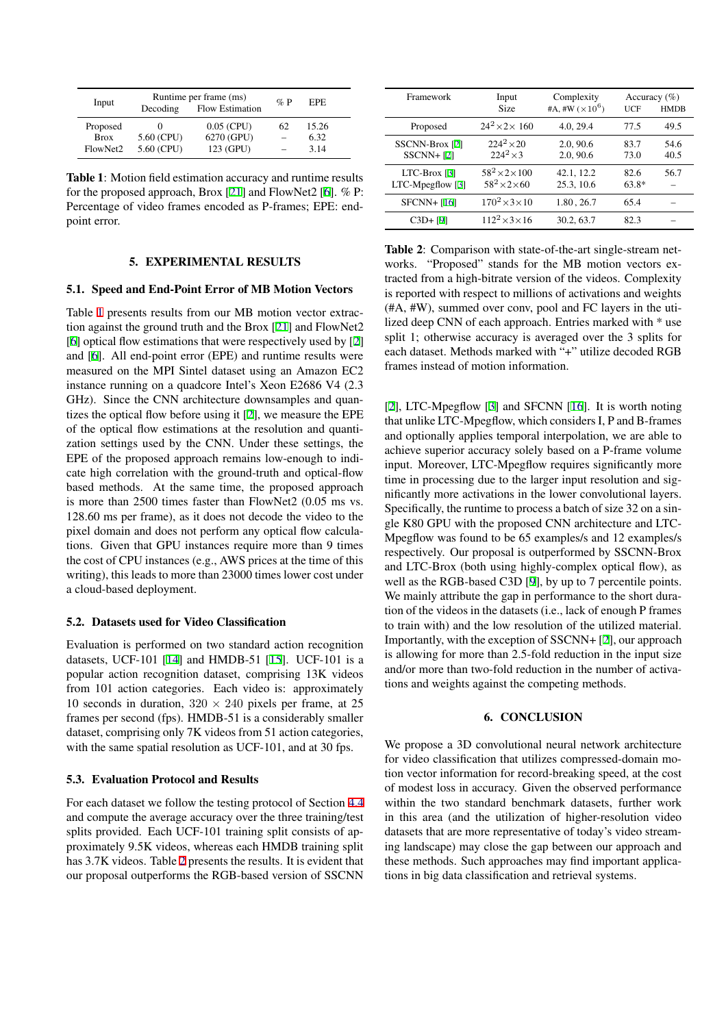| Input       | Decoding   | Runtime per frame (ms)<br><b>Flow Estimation</b> | $\%$ P | EPE.  |
|-------------|------------|--------------------------------------------------|--------|-------|
| Proposed    |            | $0.05$ (CPU)                                     | 62     | 15.26 |
| <b>Brox</b> | 5.60 (CPU) | 6270 (GPU)                                       |        | 6.32  |
| FlowNet2    | 5.60 (CPU) | 123 (GPU)                                        |        | 3.14  |

**Table 1**: Motion field estimation accuracy and runtime results for the proposed approach, Brox [21] and FlowNet2 [6]. % P: Percentage of video frames encoded as P-frames; EPE: endpoint error.

# **5. EXPERIMENT[AL](#page-4-0) RESULTS**

# **5.1. Speed and End-Point Error of MB Motion Vectors**

Table 1 presents results from our MB motion vector extraction against the ground truth and the Brox [21] and FlowNet2 [6] optical flow estimations that were respectively used by [2] and [6]. All end-point error (EPE) and runtime results were measured on the MPI Sintel dataset using an Amazon EC2 instance running on a quadcore Intel's Xe[on](#page-4-0) E2686 V4 (2.3 [GH](#page-4-0)z). Since the CNN architecture downsamples and qua[n](#page-4-0)tizes [th](#page-4-0)e optical flow before using it [2], we measure the EPE of the optical flow estimations at the resolution and quantization settings used by the CNN. Under these settings, the EPE of the proposed approach remains low-enough to indicate high correlation with the groun[d-](#page-4-0)truth and optical-flow based methods. At the same time, the proposed approach is more than 2500 times faster than FlowNet2 (0.05 ms vs. 128.60 ms per frame), as it does not decode the video to the pixel domain and does not perform any optical flow calculations. Given that GPU instances require more than 9 times the cost of CPU instances (e.g., AWS prices at the time of this writing), this leads to more than 23000 times lower cost under a cloud-based deployment.

# **5.2. Datasets used for Video Classification**

Evaluation is performed on two standard action recognition datasets, UCF-101 [14] and HMDB-51 [15]. UCF-101 is a popular action recognition dataset, comprising 13K videos from 101 action categories. Each video is: approximately 10 seconds in duration,  $320 \times 240$  pixels per frame, at 25 frames per second (f[ps\)](#page-4-0). HMDB-51 is a c[ons](#page-4-0)iderably smaller dataset, comprising only 7K videos from 51 action categories, with the same spatial resolution as UCF-101, and at 30 fps.

# **5.3. Evaluation Protocol and Results**

For each dataset we follow the testing protocol of Section 4.4 and compute the average accuracy over the three training/test splits provided. Each UCF-101 training split consists of approximately 9.5K videos, whereas each HMDB training split has 3.7K videos. Table 2 presents the results. It is evident t[hat](#page-2-0) our proposal outperforms the RGB-based version of SSCNN

| Framework                            | Input<br><b>Size</b>                                    | Complexity<br>#A, #W $(\times 10^6)$ | Accuracy $(\% )$<br>UCF | <b>HMDB</b>  |
|--------------------------------------|---------------------------------------------------------|--------------------------------------|-------------------------|--------------|
| Proposed                             | $24^2 \times 2 \times 160$                              | 4.0, 29.4                            | 77.5                    | 49.5         |
| SSCNN-Brox [2]<br>$SSCNN + [2]$      | $224^2 \times 20$<br>$224^2 \times 3$                   | 2.0, 90.6<br>2.0, 90.6               | 83.7<br>73.0            | 54.6<br>40.5 |
| $LTC-Brox [3]$<br>$LTC-Mpegflow [3]$ | $58^2 \times 2 \times 100$<br>$58^2 \times 2 \times 60$ | 42.1, 12.2<br>25.3, 10.6             | 82.6<br>$63.8*$         | 56.7         |
| $SFCNN+$ [16]                        | $170^2 \times 3 \times 10$                              | 1.80, 26.7                           | 65.4                    |              |
| $C3D + [9]$                          | $112^2 \times 3 \times 16$                              | 30.2, 63.7                           | 82.3                    |              |
|                                      |                                                         |                                      |                         |              |

**Table 2**: Com[pa](#page-4-0)rison with state-of-the-art single-stream networks. "Pr[op](#page-4-0)osed" stands for the MB motion vectors extracted fro[m](#page-4-0) a high-bitrate version of the videos. Complexity is reported with respect to millions of activations and weights (#A, #W), summed over conv, pool and FC layers in the utilized deep CNN of each approach. Entries marked with \* use split 1; otherwise accuracy is averaged over the 3 splits for each dataset. Methods marked with "+" utilize decoded RGB frames instead of motion information.

[2], LTC-Mpegflow [3] and SFCNN [16]. It is worth noting that unlike LTC-Mpegflow, which considers I, P and B-frames and optionally applies temporal interpolation, we are able to achieve superior accuracy solely based on a P-frame volume i[np](#page-4-0)ut. Moreover, LT[C-](#page-4-0)Mpegflow req[uire](#page-4-0)s significantly more time in processing due to the larger input resolution and significantly more activations in the lower convolutional layers. Specifically, the runtime to process a batch of size 32 on a single K80 GPU with the proposed CNN architecture and LTC-Mpegflow was found to be 65 examples/s and 12 examples/s respectively. Our proposal is outperformed by SSCNN-Brox and LTC-Brox (both using highly-complex optical flow), as well as the RGB-based C3D [9], by up to 7 percentile points. We mainly attribute the gap in performance to the short duration of the videos in the datasets (i.e., lack of enough P frames to train with) and the low resolution of the utilized material. Importantly, with the exceptio[n](#page-4-0) of SSCNN+ [2], our approach is allowing for more than 2.5-fold reduction in the input size and/or more than two-fold reduction in the number of activations and weights against the competing methods.

# **6. CONCLUSION**

We propose a 3D convolutional neural network architecture for video classification that utilizes compressed-domain motion vector information for record-breaking speed, at the cost of modest loss in accuracy. Given the observed performance within the two standard benchmark datasets, further work in this area (and the utilization of higher-resolution video datasets that are more representative of today's video streaming landscape) may close the gap between our approach and these methods. Such approaches may find important applications in big data classification and retrieval systems.